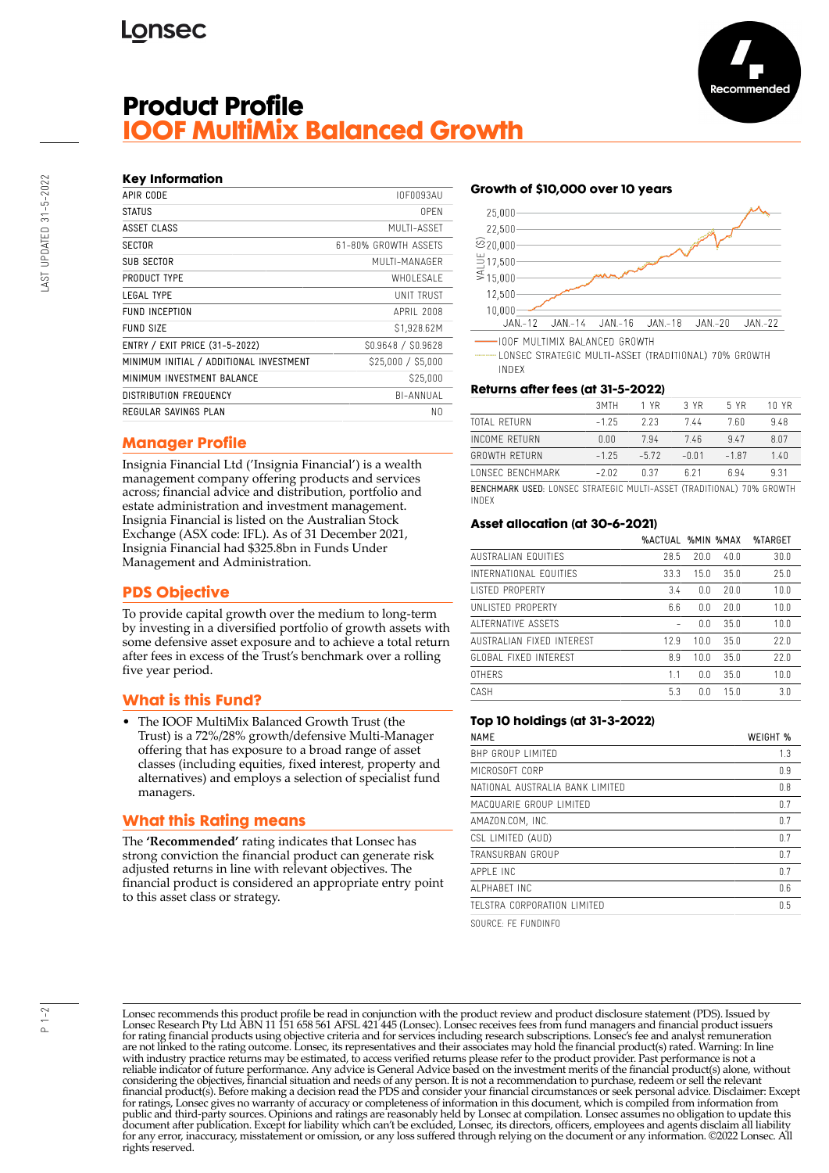# **Lonsec**



## **Key Information**

| APIR CODE                               | IOF0093AU            |
|-----------------------------------------|----------------------|
| <b>STATUS</b>                           | 0PFN                 |
| ASSET CLASS                             | MUITI-ASSFT          |
| <b>SECTOR</b>                           | 61-80% GROWTH ASSFTS |
| SUB SECTOR                              | MUITI-MANAGER        |
| PRODUCT TYPE                            | WHOI FSAI F          |
| IFGAI TYPF                              | <b>UNIT TRUST</b>    |
| <b>FUND INCEPTION</b>                   | APRII 2008           |
| <b>FUND SIZE</b>                        | \$1,928.62M          |
| ENTRY / EXIT PRICE (31-5-2022)          | \$0.9648 / \$0.9628  |
| MINIMUM INITIAL / ADDITIONAL INVESTMENT | \$25,000 / \$5,000   |
| MINIMUM INVESTMENT BALANCE              | S25.000              |
| <b>DISTRIBUTION FREQUENCY</b>           | BI-ANNUAL            |
| REGULAR SAVINGS PLAN                    | N0                   |

## **Manager Profile**

Insignia Financial Ltd ('Insignia Financial') is a wealth management company offering products and services across; financial advice and distribution, portfolio and estate administration and investment management. Insignia Financial is listed on the Australian Stock Exchange (ASX code: IFL). As of 31 December 2021, Insignia Financial had \$325.8bn in Funds Under Management and Administration.

## **PDS Objective**

To provide capital growth over the medium to long-term by investing in a diversified portfolio of growth assets with some defensive asset exposure and to achieve a total return after fees in excess of the Trust's benchmark over a rolling five year period.

## **What is this Fund?**

• The IOOF MultiMix Balanced Growth Trust (the Trust) is a 72%/28% growth/defensive Multi-Manager offering that has exposure to a broad range of asset classes (including equities, fixed interest, property and alternatives) and employs a selection of specialist fund managers.

## **What this Rating means**

The **'Recommended'** rating indicates that Lonsec has strong conviction the financial product can generate risk adjusted returns in line with relevant objectives. The financial product is considered an appropriate entry point to this asset class or strategy.

## **Growth of \$10,000 over 10 years**



**IOOF MULTIMIX BALANCED GROWTH** 

LONSEC STRATEGIC MULTI-ASSET (TRADITIONAL) 70% GROWTH **INDEX** 

#### **Returns after fees (at 31-5-2022)**

|                                                                         | 3MTH    | 1 YR    | 3 YR    | 5 YR   | 10 YR |
|-------------------------------------------------------------------------|---------|---------|---------|--------|-------|
| TOTAL RETURN                                                            | $-1.25$ | 223     | 744     | 7.60   | 948   |
| INCOME RETURN                                                           | 0.00    | 794     | 746     | 947    | 807   |
| <b>GROWTH RETURN</b>                                                    | $-1.25$ | $-5.72$ | $-0.01$ | $-187$ | 140   |
| <b><i>LONSEC BENCHMARK</i></b>                                          | $-2.02$ | n 37    | 6 2 1   | ճ 94   | 931   |
| RENCHMARK LISED. LONSEC STRATEGIC MILITI-ASSET (TRADITIONAL) 70% GROWTH |         |         |         |        |       |

BENCHMARK USED: LONSEC STRATEGIC MULTI-ASSET (TRADITIONAL) 70% GROWTH INDEX

#### **Asset allocation (at 30-6-2021)**

|                           | <b>%ACTUAL %MIN %MAX</b> |      |      | %TARGET |
|---------------------------|--------------------------|------|------|---------|
| AUSTRALIAN FOUITIES       | 28.5                     | 20.0 | 40.0 | 30.0    |
| INTERNATIONAL FOUITIES    | 33.3                     | 15.0 | 35.0 | 25.0    |
| <b>LISTED PROPERTY</b>    | 3.4                      | 0.0  | 20.0 | 10.0    |
| UNI ISTED PROPERTY        | 6.6                      | 0.0  | 20.0 | 10.0    |
| ALTERNATIVE ASSETS        |                          | 0.0  | 35.0 | 10.0    |
| AUSTRALIAN FIXED INTERFST | 12.9                     | 100  | 35.0 | 72.0    |
| GLOBAL FIXED INTEREST     | 8.9                      | 10.0 | 35.0 | 77.0    |
| <b>OTHERS</b>             | 1.1                      | 0.0  | 35.0 | 10.0    |
| CASH                      | 5.3                      | 0.0  | 15.0 | 3.0     |

### **Top 10 holdings (at 31-3-2022)**

| <b>NAME</b>                     | WEIGHT % |
|---------------------------------|----------|
| BHP GROUP LIMITED               | 1.3      |
| MICROSOFT CORP                  | 0.9      |
| NATIONAL AUSTRALIA BANK LIMITED | 0.8      |
| MACQUARIE GROUP LIMITFD         | 0.7      |
| AMAZON.COM, INC.                | 0.7      |
| CSL LIMITED (AUD)               | 0.7      |
| TRANSURBAN GROUP                | 0.7      |
| APPI F INC                      | 0.7      |
| AI PHARFT INC                   | 0.6      |
| TELSTRA CORPORATION LIMITED     | 0.5      |

SOURCE: FE FUNDINFO

Lonsec recommends this product profile be read in conjunction with the product review and product disclosure statement (PDS). Issued by Lonsec Research Pty Ltd ABN 11 151 658 561 AFSL 421 445 (Lonsec). Lonsec receives fees from fund managers and financial product issuers for rating financial products using objective criteria and for services including research subscriptions. Lonsec's fee and analyst remuneration are not linked to the rating outcome. Lonsec, its representatives and their associates may hold the financial product(s) rated. Warning: In line with industry practice returns may be estimated, to access verified returns please refer to the product provider. Past performance is not a reliable indicator of future performance. Any advice is General Advice based on the investment merits of the financial product(s) alone, without considering the objectives, financial situation and needs of any person. It is not a recommendation to purchase, redeem or sell the relevant<br>financial product(s). Before making a decision read the PDS and consider your fin public and third-party sources. Opinions and ratings are reasonably held by Lonsec at compilation. Lonsec assumes no obligation to update this document after publication. Except for liability which can't be excluded, Lonsec, its directors, officers, employees and agents disclaim all liability for any error, inaccuracy, misstatement or omission, or any loss suffered through relying on the document or any information. ©2022 Lonsec. All rights reserved.